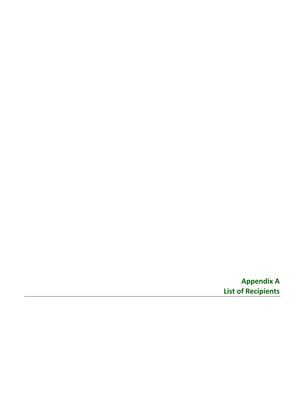**Appendix A List of Recipients**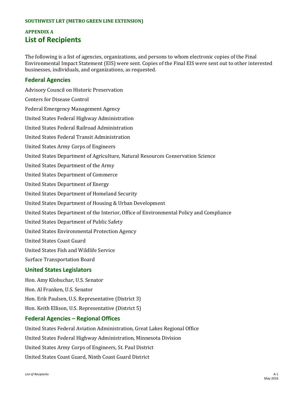#### **SOUTHWEST LRT (METRO GREEN LINE EXTENSION)**

# **APPENDIX A List of Recipients**

The following is a list of agencies, organizations, and persons to whom electronic copies of the Final Environmental Impact Statement (EIS) were sent. Copies of the Final EIS were sent out to other interested businesses, individuals, and organizations, as requested.

### **Federal Agencies**

Advisory Council on Historic Preservation Centers for Disease Control Federal Emergency Management Agency United States Federal Highway Administration United States Federal Railroad Administration United States Federal Transit Administration United States Army Corps of Engineers United States Department of Agriculture, Natural Resources Conservation Science United States Department of the Army United States Department of Commerce United States Department of Energy United States Department of Homeland Security United States Department of Housing & Urban Development United States Department of the Interior, Office of Environmental Policy and Compliance United States Department of Public Safety United States Environmental Protection Agency United States Coast Guard United States Fish and Wildlife Service Surface Transportation Board **United States Legislators** Hon. Amy Klobuchar, U.S. Senator

Hon. Al Franken, U.S. Senator

Hon. Erik Paulsen, U.S. Representative (District 3)

Hon. Keith Ellison, U.S. Representative (District 5)

### **Federal Agencies – Regional Offices**

United States Federal Aviation Administration, Great Lakes Regional Office United States Federal Highway Administration, Minnesota Division United States Army Corps of Engineers, St. Paul District United States Coast Guard, Ninth Coast Guard District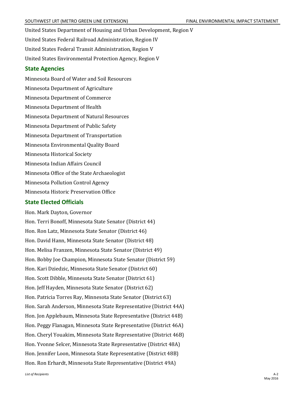United States Department of Housing and Urban Development, Region V United States Federal Railroad Administration, Region IV United States Federal Transit Administration, Region V United States Environmental Protection Agency, Region V

### **State Agencies**

Minnesota Board of Water and Soil Resources Minnesota Department of Agriculture Minnesota Department of Commerce Minnesota Department of Health Minnesota Department of Natural Resources Minnesota Department of Public Safety Minnesota Department of Transportation Minnesota Environmental Quality Board Minnesota Historical Society Minnesota Indian Affairs Council Minnesota Office of the State Archaeologist Minnesota Pollution Control Agency Minnesota Historic Preservation Office

## **State Elected Officials**

Hon. Mark Dayton, Governor Hon. Terri Bonoff, Minnesota State Senator (District 44) Hon. Ron Latz, Minnesota State Senator (District 46) Hon. David Hann, Minnesota State Senator (District 48) Hon. Melisa Franzen, Minnesota State Senator (District 49) Hon. Bobby Joe Champion, Minnesota State Senator (District 59) Hon. Kari Dziedzic, Minnesota State Senator (District 60) Hon. Scott Dibble, Minnesota State Senator (District 61) Hon. Jeff Hayden, Minnesota State Senator (District 62) Hon. Patricia Torres Ray, Minnesota State Senator (District 63) Hon. Sarah Anderson, Minnesota State Representative (District 44A) Hon. Jon Applebaum, Minnesota State Representative (District 44B) Hon. Peggy Flanagan, Minnesota State Representative (District 46A) Hon. Cheryl Youakim, Minnesota State Representative (District 46B) Hon. Yvonne Selcer, Minnesota State Representative (District 48A) Hon. Jennifer Loon, Minnesota State Representative (District 48B) Hon. Ron Erhardt, Minnesota State Representative (District 49A)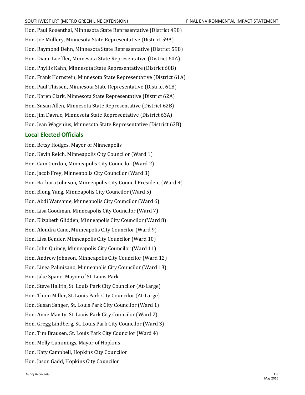Hon. Paul Rosenthal, Minnesota State Representative (District 49B) Hon. Joe Mullery, Minnesota State Representative (District 59A) Hon. Raymond Dehn, Minnesota State Representative (District 59B) Hon. Diane Loeffler, Minnesota State Representative (District 60A) Hon. Phyllis Kahn, Minnesota State Representative (District 60B) Hon. Frank Hornstein, Minnesota State Representative (District 61A) Hon. Paul Thissen, Minnesota State Representative (District 61B) Hon. Karen Clark, Minnesota State Representative (District 62A) Hon. Susan Allen, Minnesota State Representative (District 62B) Hon. Jim Davnie, Minnesota State Representative (District 63A) Hon. Jean Wagenius, Minnesota State Representative (District 63B)

### **Local Elected Officials**

Hon. Betsy Hodges, Mayor of Minneapolis Hon. Kevin Reich, Minneapolis City Councilor (Ward 1) Hon. Cam Gordon, Minneapolis City Councilor (Ward 2) Hon. Jacob Frey, Minneapolis City Councilor (Ward 3) Hon. Barbara Johnson, Minneapolis City Council President (Ward 4) Hon. Blong Yang, Minneapolis City Councilor (Ward 5) Hon. Abdi Warsame, Minneapolis City Councilor (Ward 6) Hon. Lisa Goodman, Minneapolis City Councilor (Ward 7) Hon. Elizabeth Glidden, Minneapolis City Councilor (Ward 8) Hon. Alondra Cano, Minneapolis City Councilor (Ward 9) Hon. Lisa Bender, Minneapolis City Councilor (Ward 10) Hon. John Quincy, Minneapolis City Councilor (Ward 11) Hon. Andrew Johnson, Minneapolis City Councilor (Ward 12) Hon. Linea Palmisano, Minneapolis City Councilor (Ward 13) Hon. Jake Spano, Mayor of St. Louis Park Hon. Steve Hallfin, St. Louis Park City Councilor (At-Large) Hon. Thom Miller, St. Louis Park City Councilor (At-Large) Hon. Susan Sanger, St. Louis Park City Councilor (Ward 1) Hon. Anne Mavity, St. Louis Park City Councilor (Ward 2) Hon. Gregg Lindberg, St. Louis Park City Councilor (Ward 3) Hon. Tim Brausen, St. Louis Park City Councilor (Ward 4) Hon. Molly Cummings, Mayor of Hopkins Hon. Katy Campbell, Hopkins City Councilor Hon. Jason Gadd, Hopkins City Councilor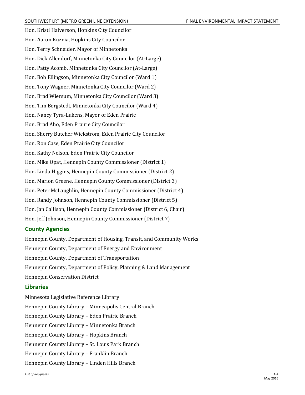Hon. Kristi Halverson, Hopkins City Councilor Hon. Aaron Kuznia, Hopkins City Councilor Hon. Terry Schneider, Mayor of Minnetonka Hon. Dick Allendorf, Minnetonka City Councilor (At-Large) Hon. Patty Acomb, Minnetonka City Councilor (At-Large) Hon. Bob Ellingson, Minnetonka City Councilor (Ward 1) Hon. Tony Wagner, Minnetonka City Councilor (Ward 2) Hon. Brad Wiersum, Minnetonka City Councilor (Ward 3) Hon. Tim Bergstedt, Minnetonka City Councilor (Ward 4) Hon. Nancy Tyra-Lukens, Mayor of Eden Prairie Hon. Brad Aho, Eden Prairie City Councilor Hon. Sherry Butcher Wickstrom, Eden Prairie City Councilor Hon. Ron Case, Eden Prairie City Councilor Hon. Kathy Nelson, Eden Prairie City Councilor Hon. Mike Opat, Hennepin County Commissioner (District 1) Hon. Linda Higgins, Hennepin County Commissioner (District 2) Hon. Marion Greene, Hennepin County Commissioner (District 3) Hon. Peter McLaughlin, Hennepin County Commissioner (District 4) Hon. Randy Johnson, Hennepin County Commissioner (District 5) Hon. Jan Callison, Hennepin County Commissioner (District 6, Chair) Hon. Jeff Johnson, Hennepin County Commissioner (District 7)

### **County Agencies**

Hennepin County, Department of Housing, Transit, and Community Works Hennepin County, Department of Energy and Environment Hennepin County, Department of Transportation Hennepin County, Department of Policy, Planning & Land Management Hennepin Conservation District

### **Libraries**

Minnesota Legislative Reference Library Hennepin County Library – Minneapolis Central Branch Hennepin County Library – Eden Prairie Branch Hennepin County Library – Minnetonka Branch Hennepin County Library – Hopkins Branch Hennepin County Library – St. Louis Park Branch Hennepin County Library – Franklin Branch Hennepin County Library – Linden Hills Branch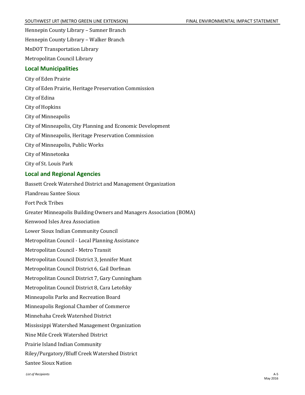Hennepin County Library – Sumner Branch

Hennepin County Library – Walker Branch

MnDOT Transportation Library

Metropolitan Council Library

### **Local Municipalities**

City of Eden Prairie City of Eden Prairie, Heritage Preservation Commission City of Edina City of Hopkins City of Minneapolis City of Minneapolis, City Planning and Economic Development City of Minneapolis, Heritage Preservation Commission City of Minneapolis, Public Works City of Minnetonka City of St. Louis Park

## **Local and Regional Agencies**

Bassett Creek Watershed District and Management Organization Flandreau Santee Sioux Fort Peck Tribes Greater Minneapolis Building Owners and Managers Association (BOMA) Kenwood Isles Area Association Lower Sioux Indian Community Council Metropolitan Council - Local Planning Assistance Metropolitan Council - Metro Transit Metropolitan Council District 3, Jennifer Munt Metropolitan Council District 6, Gail Dorfman Metropolitan Council District 7, Gary Cunningham Metropolitan Council District 8, Cara Letofsky Minneapolis Parks and Recreation Board Minneapolis Regional Chamber of Commerce Minnehaha Creek Watershed District Mississippi Watershed Management Organization Nine Mile Creek Watershed District Prairie Island Indian Community Riley/Purgatory/Bluff Creek Watershed District Santee Sioux Nation